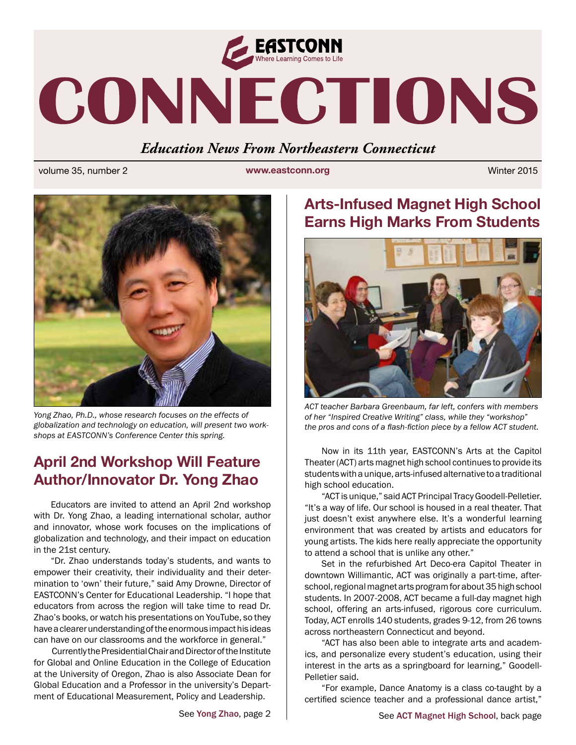

# CONNECTIONS

# *Education News From Northeastern Connecticut*

volume 35, number 2 **www.eastconn.org** Winter 2015



*Yong Zhao, Ph.D., whose research focuses on the effects of globalization and technology on education, will present two workshops at EASTCONN's Conference Center this spring.* 

# **April 2nd Workshop Will Feature Author/Innovator Dr. Yong Zhao**

Educators are invited to attend an April 2nd workshop with Dr. Yong Zhao, a leading international scholar, author and innovator, whose work focuses on the implications of globalization and technology, and their impact on education in the 21st century.

"Dr. Zhao understands today's students, and wants to empower their creativity, their individuality and their determination to 'own' their future," said Amy Drowne, Director of EASTCONN's Center for Educational Leadership. "I hope that educators from across the region will take time to read Dr. Zhao's books, or watch his presentations on YouTube, so they have a clearer understanding of the enormous impact his ideas can have on our classrooms and the workforce in general."

 Currently the Presidential Chair and Director of the Institute for Global and Online Education in the College of Education at the University of Oregon, Zhao is also Associate Dean for Global Education and a Professor in the university's Department of Educational Measurement, Policy and Leadership.

# **Arts-Infused Magnet High School Earns High Marks From Students**



*ACT teacher Barbara Greenbaum, far left, confers with members of her "Inspired Creative Writing" class, while they "workshop" the pros and cons of a fash-fction piece by a fellow ACT student.* 

Now in its 11th year, EASTCONN's Arts at the Capitol Theater (ACT) arts magnet high school continues to provide its students with a unique, arts-infused alternative to a traditional high school education.

"ACT is unique," said ACT Principal Tracy Goodell-Pelletier. "It's a way of life. Our school is housed in a real theater. That just doesn't exist anywhere else. It's a wonderful learning environment that was created by artists and educators for young artists. The kids here really appreciate the opportunity to attend a school that is unlike any other."

Set in the refurbished Art Deco-era Capitol Theater in downtown Willimantic, ACT was originally a part-time, afterschool, regional magnet arts program for about 35 high school students. In 2007-2008, ACT became a full-day magnet high school, offering an arts-infused, rigorous core curriculum. Today, ACT enrolls 140 students, grades 9-12, from 26 towns across northeastern Connecticut and beyond.

"ACT has also been able to integrate arts and academics, and personalize every student's education, using their interest in the arts as a springboard for learning," Goodell-Pelletier said.

"For example, Dance Anatomy is a class co-taught by a certifed science teacher and a professional dance artist,"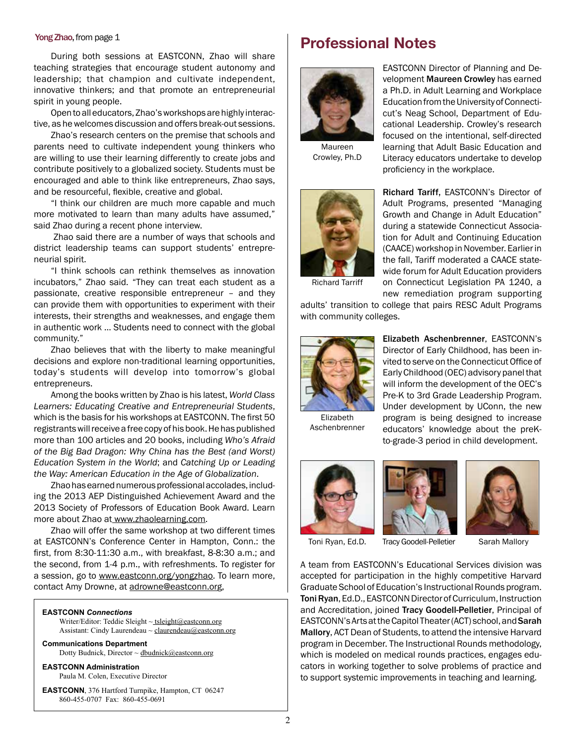#### Yong Zhao, from page 1

During both sessions at EASTCONN, Zhao will share teaching strategies that encourage student autonomy and leadership; that champion and cultivate independent, innovative thinkers; and that promote an entrepreneurial spirit in young people.

Open to all educators, Zhao's workshops are highly interactive, as he welcomes discussion and offers break-out sessions.

Zhao's research centers on the premise that schools and parents need to cultivate independent young thinkers who are willing to use their learning differently to create jobs and contribute positively to a globalized society. Students must be encouraged and able to think like entrepreneurs, Zhao says, and be resourceful, flexible, creative and global.

"I think our children are much more capable and much more motivated to learn than many adults have assumed," said Zhao during a recent phone interview.

 Zhao said there are a number of ways that schools and district leadership teams can support students' entrepreneurial spirit.

"I think schools can rethink themselves as innovation incubators," Zhao said. "They can treat each student as a passionate, creative responsible entrepreneur – and they can provide them with opportunities to experiment with their interests, their strengths and weaknesses, and engage them in authentic work … Students need to connect with the global community."

Zhao believes that with the liberty to make meaningful decisions and explore non-traditional learning opportunities, today's students will develop into tomorrow's global entrepreneurs.

Among the books written by Zhao is his latest, *World Class Learners: Educating Creative and Entrepreneurial Students*, which is the basis for his workshops at EASTCONN. The first 50 registrants will receive a free copy of his book. He has published more than 100 articles and 20 books, including *Who's Afraid of the Big Bad Dragon: Why China has the Best (and Worst) Education System in the World*; and *Catching Up or Leading the Way: American Education in the Age of Globalization*.

Zhao has earned numerous professional accolades, including the 2013 AEP Distinguished Achievement Award and the 2013 Society of Professors of Education Book Award. Learn more about Zhao at www.zhaolearning.com.

Zhao will offer the same workshop at two different times at EASTCONN's Conference Center in Hampton, Conn.: the frst, from 8:30-11:30 a.m., with breakfast, 8-8:30 a.m.; and the second, from 1-4 p.m., with refreshments. To register for a session, go to www.eastconn.org/yongzhao. To learn more, contact Amy Drowne, at adrowne@eastconn.org,

#### **EASTCONN** *Connections*

Writer/Editor: Teddie Sleight ~ tsleight@eastconn.org Assistant: Cindy Laurendeau ~ [claurendeau@eastconn.org](mailto:claurendeau@eastconn.org)

**[Communications Department](%20mailto:connections@eastconn.org)**

[Dotty Budnick](mailto:dbudnick@eastconn.org), Director ~ dbudnick@eastconn.org

#### **EASTCONN Administration**

Paula M. Colen, Executive Director

**EASTCONN**, 376 Hartford Turnpike, Hampton, CT 06247 860-455-0707 Fax: 860-455-0691

## **Professional Notes**



Maureen Crowley, Ph.D



EASTCONN Director of Planning and Development Maureen Crowley has earned a Ph.D. in Adult Learning and Workplace Education from the University of Connecticut's Neag School, Department of Educational Leadership. Crowley's research focused on the intentional, self-directed learning that Adult Basic Education and Literacy educators undertake to develop proficiency in the workplace.

Richard Tariff, EASTCONN's Director of Adult Programs, presented "Managing Growth and Change in Adult Education" during a statewide Connecticut Association for Adult and Continuing Education (CAACE) workshop in November. Earlier in the fall, Tariff moderated a CAACE statewide forum for Adult Education providers on Connecticut Legislation PA 1240, a new remediation program supporting

Richard Tarriff

adults' transition to college that pairs RESC Adult Programs with community colleges.



Elizabeth Aschenbrenner, EASTCONN's Director of Early Childhood, has been invited to serve on the Connecticut Office of Early Childhood (OEC) advisory panel that will inform the development of the OEC's Pre-K to 3rd Grade Leadership Program. Under development by UConn, the new program is being designed to increase educators' knowledge about the preKto-grade-3 period in child development.

Elizabeth Aschenbrenner







Toni Ryan, Ed.D. Tracy Goodell-Pelletier Sarah Mallory

A team from EASTCONN's Educational Services division was accepted for participation in the highly competitive Harvard Graduate School of Education's Instructional Rounds program. Toni Ryan, Ed.D., EASTCONN Director of Curriculum, Instruction and Accreditation, joined Tracy Goodell-Pelletier, Principal of EASTCONN's Arts at the Capitol Theater (ACT) school, and Sarah Mallory, ACT Dean of Students, to attend the intensive Harvard program in December. The Instructional Rounds methodology, which is modeled on medical rounds practices, engages educators in working together to solve problems of practice and to support systemic improvements in teaching and learning.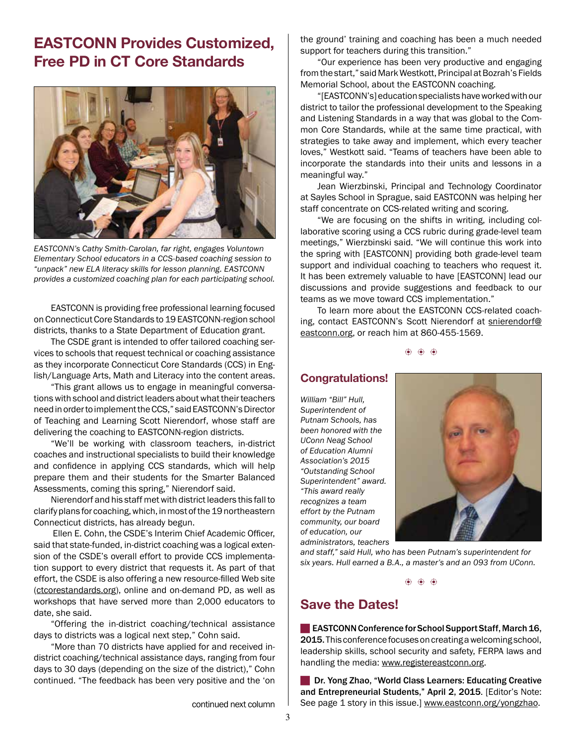## **EASTCONN Provides Customized, Free PD in CT Core Standards**



*EASTCONN's Cathy Smith-Carolan, far right, engages Voluntown Elementary School educators in a CCS-based coaching session to "unpack" new ELA literacy skills for lesson planning. EASTCONN provides a customized coaching plan for each participating school.* 

EASTCONN is providing free professional learning focused on Connecticut Core Standards to 19 EASTCONN-region school districts, thanks to a State Department of Education grant.

The CSDE grant is intended to offer tailored coaching services to schools that request technical or coaching assistance as they incorporate Connecticut Core Standards (CCS) in English/Language Arts, Math and Literacy into the content areas.

"This grant allows us to engage in meaningful conversations with school and district leaders about what their teachers need in order to implement the CCS," said EASTCONN's Director of Teaching and Learning Scott Nierendorf, whose staff are delivering the coaching to EASTCONN-region districts.

"We'll be working with classroom teachers, in-district coaches and instructional specialists to build their knowledge and confdence in applying CCS standards, which will help prepare them and their students for the Smarter Balanced Assessments, coming this spring," Nierendorf said.

Nierendorf and his staff met with district leaders this fall to clarify plans for coaching, which, in most of the 19 northeastern Connecticut districts, has already begun.

Ellen E. Cohn, the CSDE's Interim Chief Academic Officer, said that state-funded, in-district coaching was a logical extension of the CSDE's overall effort to provide CCS implementation support to every district that requests it. As part of that effort, the CSDE is also offering a new resource-flled Web site (ctcorestandards.org), online and on-demand PD, as well as workshops that have served more than 2,000 educators to date, she said.

"Offering the in-district coaching/technical assistance days to districts was a logical next step," Cohn said.

"More than 70 districts have applied for and received indistrict coaching/technical assistance days, ranging from four days to 30 days (depending on the size of the district)," Cohn continued. "The feedback has been very positive and the 'on

continued next column

the ground' training and coaching has been a much needed support for teachers during this transition."

"Our experience has been very productive and engaging from the start," said Mark Westkott, Principal at Bozrah's Fields Memorial School, about the EASTCONN coaching.

"[EASTCONN's] education specialists have worked with our district to tailor the professional development to the Speaking and Listening Standards in a way that was global to the Common Core Standards, while at the same time practical, with strategies to take away and implement, which every teacher loves," Westkott said. "Teams of teachers have been able to incorporate the standards into their units and lessons in a meaningful way."

Jean Wierzbinski, Principal and Technology Coordinator at Sayles School in Sprague, said EASTCONN was helping her staff concentrate on CCS-related writing and scoring.

"We are focusing on the shifts in writing, including collaborative scoring using a CCS rubric during grade-level team meetings," Wierzbinski said. "We will continue this work into the spring with [EASTCONN] providing both grade-level team support and individual coaching to teachers who request it. It has been extremely valuable to have [EASTCONN] lead our discussions and provide suggestions and feedback to our teams as we move toward CCS implementation."

To learn more about the EASTCONN CCS-related coaching, contact EASTCONN's Scott Nierendorf at snierendorf@ eastconn.org, or reach him at 860-455-1569.

 $\circledast$   $\circledast$ 

#### **Congratulations!**

*William "Bill" Hull, Superintendent of Putnam Schools, has been honored with the UConn Neag School of Education Alumni Association's 2015 "Outstanding School Superintendent" award. "This award really recognizes a team effort by the Putnam community, our board of education, our administrators, teachers* 



*and staff," said Hull, who has been Putnam's superintendent for six years. Hull earned a B.A., a master's and an 093 from UConn.* 

 $\circledast$   $\circledast$   $\circledast$ 

### **Save the Dates!**

**EASTCONN Conference for School Support Staff, March 16,** 2015. This conference focuses on creating a welcoming school, leadership skills, school security and safety, FERPA laws and handling the media: www.registereastconn.org.

**Dr. Yong Zhao, "World Class Learners: Educating Creative** and Entrepreneurial Students," April 2, 2015. [Editor's Note: See page 1 story in this issue.] www.eastconn.org/yongzhao.